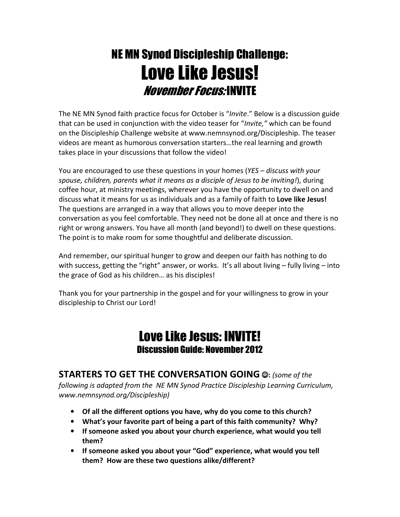## NE MN Synod Discipleship Challenge: Love Like Jesus! November Focus: INVITE

The NE MN Synod faith practice focus for October is "Invite." Below is a discussion guide that can be used in conjunction with the video teaser for "Invite," which can be found on the Discipleship Challenge website at www.nemnsynod.org/Discipleship. The teaser videos are meant as humorous conversation starters…the real learning and growth takes place in your discussions that follow the video!

You are encouraged to use these questions in your homes (YES – discuss with your spouse, children, parents what it means as a disciple of Jesus to be inviting!), during coffee hour, at ministry meetings, wherever you have the opportunity to dwell on and discuss what it means for us as individuals and as a family of faith to Love like Jesus! The questions are arranged in a way that allows you to move deeper into the conversation as you feel comfortable. They need not be done all at once and there is no right or wrong answers. You have all month (and beyond!) to dwell on these questions. The point is to make room for some thoughtful and deliberate discussion.

And remember, our spiritual hunger to grow and deepen our faith has nothing to do with success, getting the "right" answer, or works. It's all about living - fully living - into the grace of God as his children… as his disciples!

Thank you for your partnership in the gospel and for your willingness to grow in your discipleship to Christ our Lord!

## Love Like Jesus: INVITE! Discussion Guide: November 2012

STARTERS TO GET THE CONVERSATION GOING  $@:$  (some of the following is adapted from the NE MN Synod Practice Discipleship Learning Curriculum, www.nemnsynod.org/Discipleship)

- Of all the different options you have, why do you come to this church?
- What's your favorite part of being a part of this faith community? Why?
- If someone asked you about your church experience, what would you tell them?
- If someone asked you about your "God" experience, what would you tell them? How are these two questions alike/different?